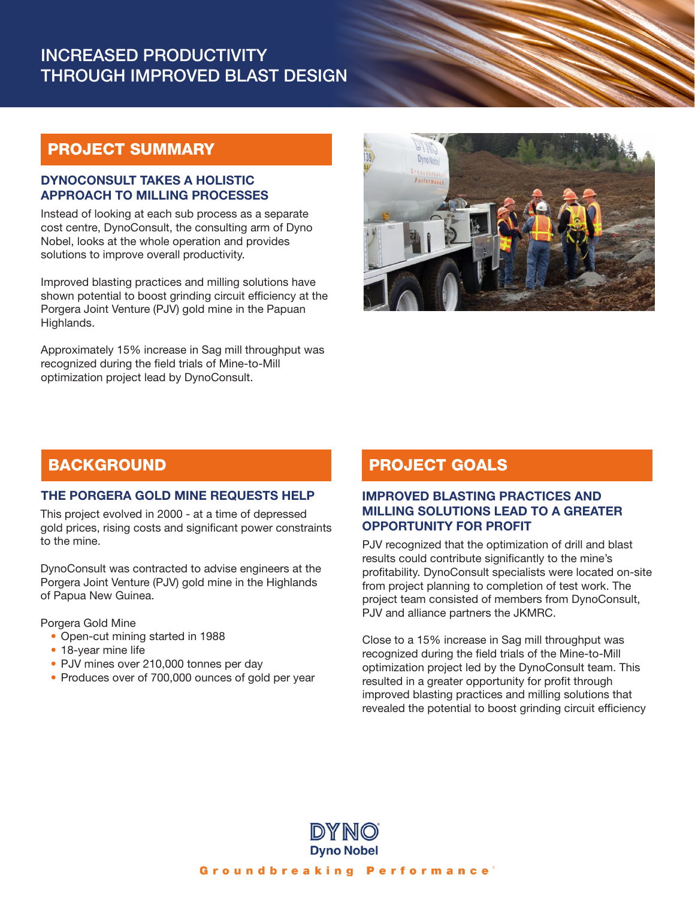# INCREASED PRODUCTIVITY THROUGH IMPROVED BLAST DESIGN

# PROJECT SUMMARY

#### DYNOCONSULT TAKES A HOLISTIC APPROACH TO MILLING PROCESSES

Instead of looking at each sub process as a separate cost centre, DynoConsult, the consulting arm of Dyno Nobel, looks at the whole operation and provides solutions to improve overall productivity.

Improved blasting practices and milling solutions have shown potential to boost grinding circuit efficiency at the Porgera Joint Venture (PJV) gold mine in the Papuan Highlands.

Approximately 15% increase in Sag mill throughput was recognized during the field trials of Mine-to-Mill optimization project lead by DynoConsult.



### **BACKGROUND**

#### THE PORGERA GOLD MINE REQUESTS HELP

This project evolved in 2000 - at a time of depressed gold prices, rising costs and significant power constraints to the mine.

DynoConsult was contracted to advise engineers at the Porgera Joint Venture (PJV) gold mine in the Highlands of Papua New Guinea.

Porgera Gold Mine

- Open-cut mining started in 1988
- 18-year mine life
- PJV mines over 210,000 tonnes per day
- Produces over of 700,000 ounces of gold per year

### PROJECT GOALS

#### IMPROVED BLASTING PRACTICES AND MILLING SOLUTIONS LEAD TO A GREATER OPPORTUNITY FOR PROFIT

PJV recognized that the optimization of drill and blast results could contribute significantly to the mine's profitability. DynoConsult specialists were located on-site from project planning to completion of test work. The project team consisted of members from DynoConsult, PJV and alliance partners the JKMRC.

Close to a 15% increase in Sag mill throughput was recognized during the field trials of the Mine-to-Mill optimization project led by the DynoConsult team. This resulted in a greater opportunity for profit through improved blasting practices and milling solutions that revealed the potential to boost grinding circuit efficiency